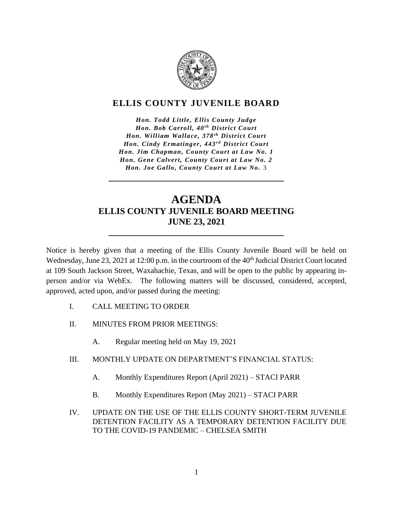

## **ELLIS COUNTY JUVENILE BOARD**

*Hon. Todd Little, Ellis County Judge Hon. Bob Carroll, 40<sup>th</sup> District Court Hon. William Wallace, 378<sup>th</sup> District Court Hon. Cindy Ermatinger, 443<sup>rd</sup> District Court Hon. Jim Chapman, County Court at Law No. 1 Hon. Gene Calvert, County Court at Law No. 2 Hon. Joe Gallo, County Court at Law No.* 3

## **AGENDA ELLIS COUNTY JUVENILE BOARD MEETING JUNE 23, 2021**

**\_\_\_\_\_\_\_\_\_\_\_\_\_\_\_\_\_\_\_\_\_\_\_\_\_\_\_\_\_\_\_\_\_\_\_\_\_\_\_**

**\_\_\_\_\_\_\_\_\_\_\_\_\_\_\_\_\_\_\_\_\_\_\_\_\_\_\_\_\_\_\_\_\_\_\_\_\_\_\_**

Notice is hereby given that a meeting of the Ellis County Juvenile Board will be held on Wednesday, June 23, 2021 at 12:00 p.m. in the courtroom of the 40<sup>th</sup> Judicial District Court located at 109 South Jackson Street, Waxahachie, Texas, and will be open to the public by appearing inperson and/or via WebEx. The following matters will be discussed, considered, accepted, approved, acted upon, and/or passed during the meeting:

- I. CALL MEETING TO ORDER
- II. MINUTES FROM PRIOR MEETINGS:
	- A. Regular meeting held on May 19, 2021
- III. MONTHLY UPDATE ON DEPARTMENT'S FINANCIAL STATUS:
	- A. Monthly Expenditures Report (April 2021) STACI PARR
	- B. Monthly Expenditures Report (May 2021) STACI PARR
- IV. UPDATE ON THE USE OF THE ELLIS COUNTY SHORT-TERM JUVENILE DETENTION FACILITY AS A TEMPORARY DETENTION FACILITY DUE TO THE COVID-19 PANDEMIC – CHELSEA SMITH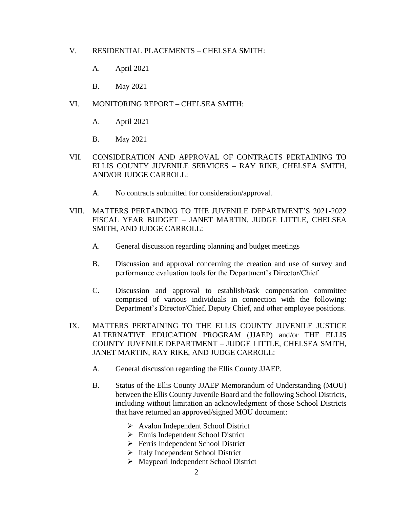- V. RESIDENTIAL PLACEMENTS CHELSEA SMITH:
	- A. April 2021
	- B. May 2021
- VI. MONITORING REPORT CHELSEA SMITH:
	- A. April 2021
	- B. May 2021
- VII. CONSIDERATION AND APPROVAL OF CONTRACTS PERTAINING TO ELLIS COUNTY JUVENILE SERVICES – RAY RIKE, CHELSEA SMITH, AND/OR JUDGE CARROLL:
	- A. No contracts submitted for consideration/approval.
- VIII. MATTERS PERTAINING TO THE JUVENILE DEPARTMENT'S 2021-2022 FISCAL YEAR BUDGET – JANET MARTIN, JUDGE LITTLE, CHELSEA SMITH, AND JUDGE CARROLL:
	- A. General discussion regarding planning and budget meetings
	- B. Discussion and approval concerning the creation and use of survey and performance evaluation tools for the Department's Director/Chief
	- C. Discussion and approval to establish/task compensation committee comprised of various individuals in connection with the following: Department's Director/Chief, Deputy Chief, and other employee positions.
- IX. MATTERS PERTAINING TO THE ELLIS COUNTY JUVENILE JUSTICE ALTERNATIVE EDUCATION PROGRAM (JJAEP) and/or THE ELLIS COUNTY JUVENILE DEPARTMENT – JUDGE LITTLE, CHELSEA SMITH, JANET MARTIN, RAY RIKE, AND JUDGE CARROLL:
	- A. General discussion regarding the Ellis County JJAEP.
	- B. Status of the Ellis County JJAEP Memorandum of Understanding (MOU) between the Ellis County Juvenile Board and the following School Districts, including without limitation an acknowledgment of those School Districts that have returned an approved/signed MOU document:
		- ➢ Avalon Independent School District
		- ➢ Ennis Independent School District
		- ➢ Ferris Independent School District
		- ➢ Italy Independent School District
		- ➢ Maypearl Independent School District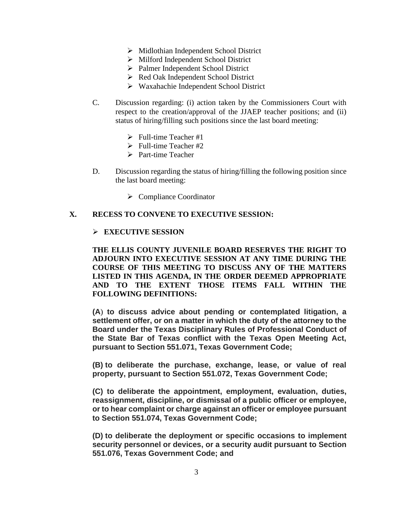- ➢ Midlothian Independent School District
- ➢ Milford Independent School District
- ➢ Palmer Independent School District
- ➢ Red Oak Independent School District
- ➢ Waxahachie Independent School District
- C. Discussion regarding: (i) action taken by the Commissioners Court with respect to the creation/approval of the JJAEP teacher positions; and (ii) status of hiring/filling such positions since the last board meeting:
	- $\triangleright$  Full-time Teacher #1
	- $\triangleright$  Full-time Teacher #2
	- ➢ Part-time Teacher
- D. Discussion regarding the status of hiring/filling the following position since the last board meeting:
	- ➢ Compliance Coordinator

## **X. RECESS TO CONVENE TO EXECUTIVE SESSION:**

## ➢ **EXECUTIVE SESSION**

**THE ELLIS COUNTY JUVENILE BOARD RESERVES THE RIGHT TO ADJOURN INTO EXECUTIVE SESSION AT ANY TIME DURING THE COURSE OF THIS MEETING TO DISCUSS ANY OF THE MATTERS LISTED IN THIS AGENDA, IN THE ORDER DEEMED APPROPRIATE AND TO THE EXTENT THOSE ITEMS FALL WITHIN THE FOLLOWING DEFINITIONS:**

**(A**) **to discuss advice about pending or contemplated litigation, a settlement offer, or on a matter in which the duty of the attorney to the Board under the Texas Disciplinary Rules of Professional Conduct of the State Bar of Texas conflict with the Texas Open Meeting Act, pursuant to Section 551.071, Texas Government Code;**

**(B) to deliberate the purchase, exchange, lease, or value of real property, pursuant to Section 551.072, Texas Government Code;**

**(C) to deliberate the appointment, employment, evaluation, duties, reassignment, discipline, or dismissal of a public officer or employee, or to hear complaint or charge against an officer or employee pursuant to Section 551.074, Texas Government Code;**

**(D) to deliberate the deployment or specific occasions to implement security personnel or devices, or a security audit pursuant to Section 551.076, Texas Government Code; and**